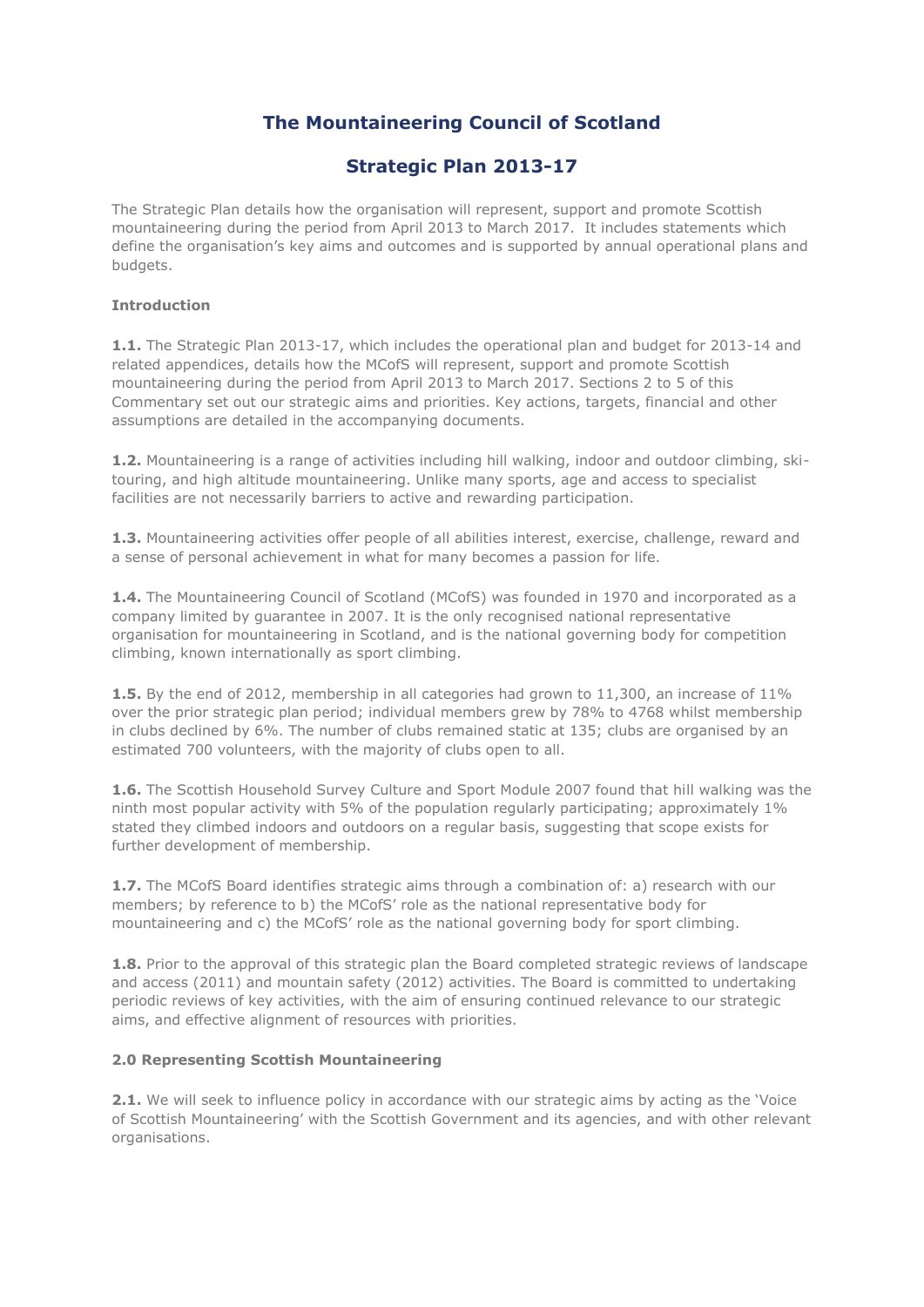# **The Mountaineering Council of Scotland**

# **Strategic Plan 2013-17**

The Strategic Plan details how the organisation will represent, support and promote Scottish mountaineering during the period from April 2013 to March 2017. It includes statements which define the organisation's key aims and outcomes and is supported by annual operational plans and budgets.

## **Introduction**

**1.1.** The Strategic Plan 2013-17, which includes the operational plan and budget for 2013-14 and related appendices, details how the MCofS will represent, support and promote Scottish mountaineering during the period from April 2013 to March 2017. Sections 2 to 5 of this Commentary set out our strategic aims and priorities. Key actions, targets, financial and other assumptions are detailed in the accompanying documents.

**1.2.** Mountaineering is a range of activities including hill walking, indoor and outdoor climbing, skitouring, and high altitude mountaineering. Unlike many sports, age and access to specialist facilities are not necessarily barriers to active and rewarding participation.

**1.3.** Mountaineering activities offer people of all abilities interest, exercise, challenge, reward and a sense of personal achievement in what for many becomes a passion for life.

**1.4.** The Mountaineering Council of Scotland (MCofS) was founded in 1970 and incorporated as a company limited by guarantee in 2007. It is the only recognised national representative organisation for mountaineering in Scotland, and is the national governing body for competition climbing, known internationally as sport climbing.

**1.5.** By the end of 2012, membership in all categories had grown to 11,300, an increase of 11% over the prior strategic plan period; individual members grew by 78% to 4768 whilst membership in clubs declined by 6%. The number of clubs remained static at 135; clubs are organised by an estimated 700 volunteers, with the majority of clubs open to all.

**1.6.** The Scottish Household Survey Culture and Sport Module 2007 found that hill walking was the ninth most popular activity with 5% of the population regularly participating; approximately 1% stated they climbed indoors and outdoors on a regular basis, suggesting that scope exists for further development of membership.

**1.7.** The MCofS Board identifies strategic aims through a combination of: a) research with our members; by reference to b) the MCofS' role as the national representative body for mountaineering and c) the MCofS' role as the national governing body for sport climbing.

**1.8.** Prior to the approval of this strategic plan the Board completed strategic reviews of landscape and access (2011) and mountain safety (2012) activities. The Board is committed to undertaking periodic reviews of key activities, with the aim of ensuring continued relevance to our strategic aims, and effective alignment of resources with priorities.

## **2.0 Representing Scottish Mountaineering**

**2.1.** We will seek to influence policy in accordance with our strategic aims by acting as the 'Voice of Scottish Mountaineering' with the Scottish Government and its agencies, and with other relevant organisations.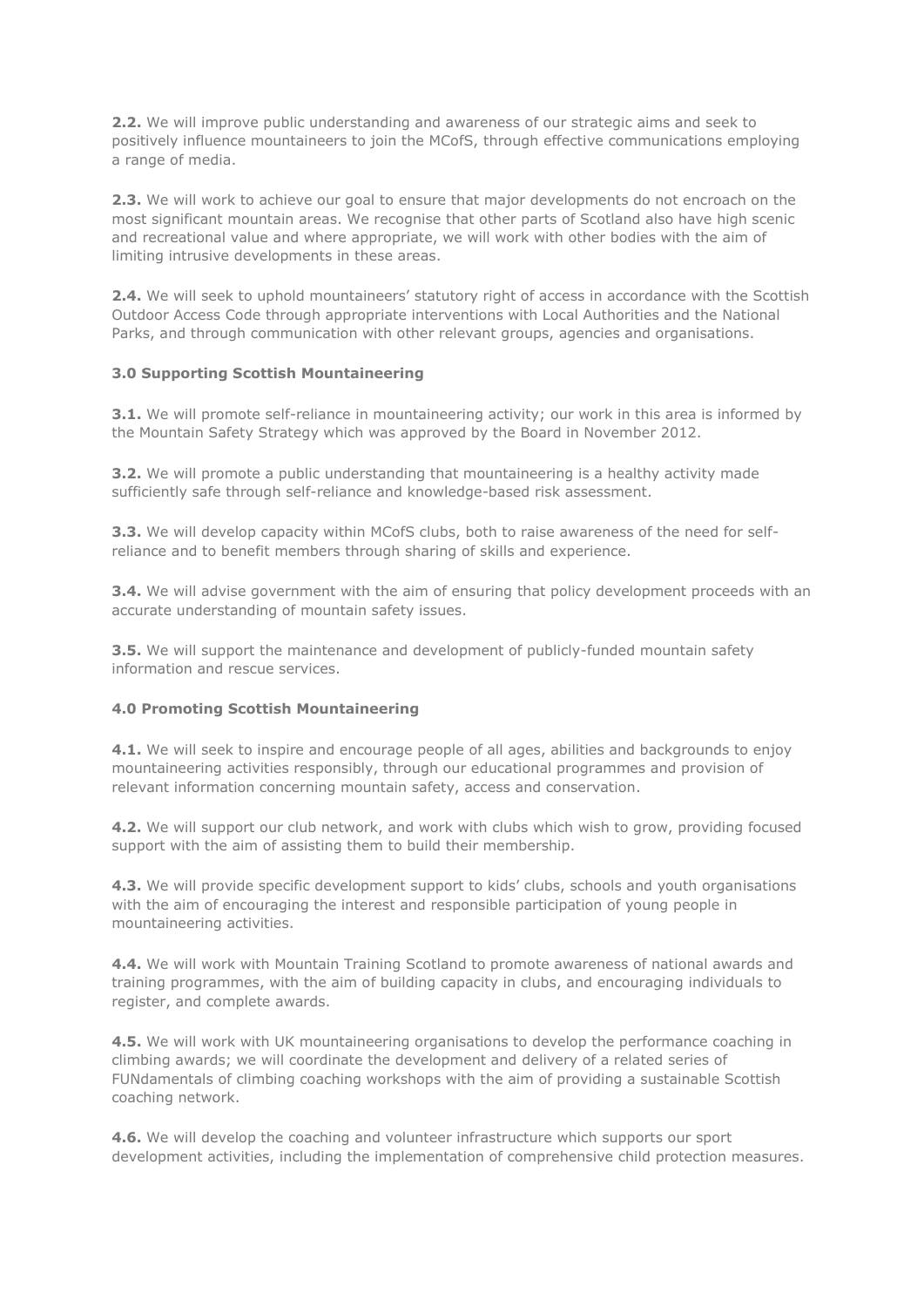**2.2.** We will improve public understanding and awareness of our strategic aims and seek to positively influence mountaineers to join the MCofS, through effective communications employing a range of media.

**2.3.** We will work to achieve our goal to ensure that major developments do not encroach on the most significant mountain areas. We recognise that other parts of Scotland also have high scenic and recreational value and where appropriate, we will work with other bodies with the aim of limiting intrusive developments in these areas.

**2.4.** We will seek to uphold mountaineers' statutory right of access in accordance with the Scottish Outdoor Access Code through appropriate interventions with Local Authorities and the National Parks, and through communication with other relevant groups, agencies and organisations.

### **3.0 Supporting Scottish Mountaineering**

**3.1.** We will promote self-reliance in mountaineering activity; our work in this area is informed by the Mountain Safety Strategy which was approved by the Board in November 2012.

**3.2.** We will promote a public understanding that mountaineering is a healthy activity made sufficiently safe through self-reliance and knowledge-based risk assessment.

**3.3.** We will develop capacity within MCofS clubs, both to raise awareness of the need for selfreliance and to benefit members through sharing of skills and experience.

**3.4.** We will advise government with the aim of ensuring that policy development proceeds with an accurate understanding of mountain safety issues.

**3.5.** We will support the maintenance and development of publicly-funded mountain safety information and rescue services.

#### **4.0 Promoting Scottish Mountaineering**

**4.1.** We will seek to inspire and encourage people of all ages, abilities and backgrounds to enjoy mountaineering activities responsibly, through our educational programmes and provision of relevant information concerning mountain safety, access and conservation.

**4.2.** We will support our club network, and work with clubs which wish to grow, providing focused support with the aim of assisting them to build their membership.

**4.3.** We will provide specific development support to kids' clubs, schools and youth organisations with the aim of encouraging the interest and responsible participation of young people in mountaineering activities.

**4.4.** We will work with Mountain Training Scotland to promote awareness of national awards and training programmes, with the aim of building capacity in clubs, and encouraging individuals to register, and complete awards.

**4.5.** We will work with UK mountaineering organisations to develop the performance coaching in climbing awards; we will coordinate the development and delivery of a related series of FUNdamentals of climbing coaching workshops with the aim of providing a sustainable Scottish coaching network.

**4.6.** We will develop the coaching and volunteer infrastructure which supports our sport development activities, including the implementation of comprehensive child protection measures.